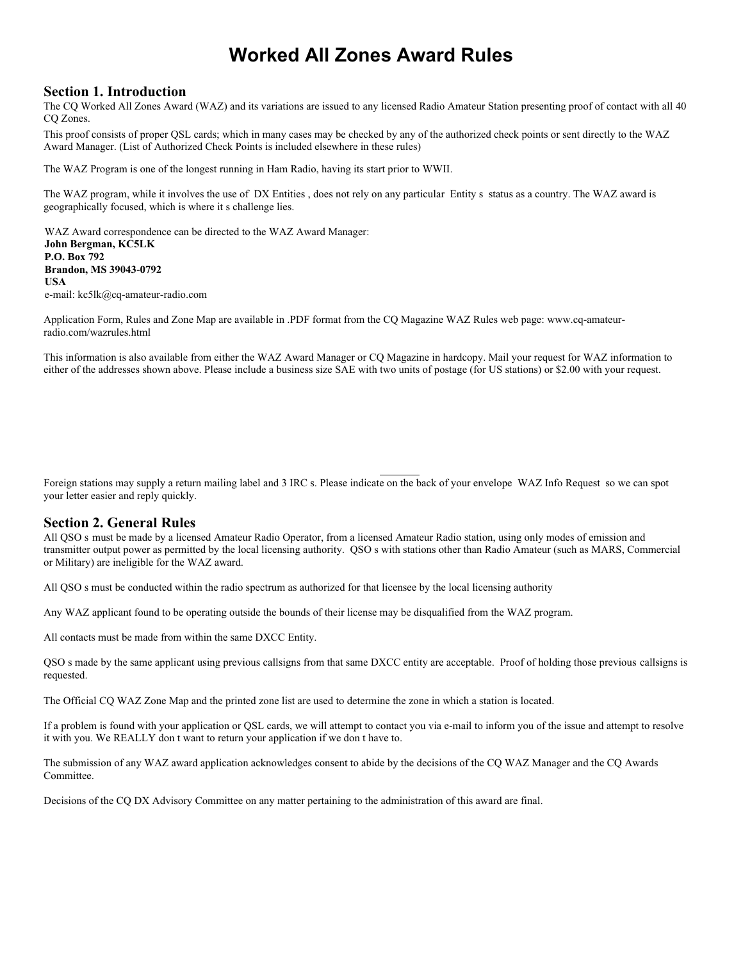# **Worked All Zones Award Rules**

#### **Section 1. Introduction**

The CQ Worked All Zones Award (WAZ) and its variations are issued to any licensed Radio Amateur Station presenting proof of contact with all 40 CQ Zones.

This proof consists of proper QSL cards; which in many cases may be checked by any of the authorized check points or sent directly to the WAZ Award Manager. (List of Authorized Check Points is included elsewhere in these rules)

The WAZ Program is one of the longest running in Ham Radio, having its start prior to WWII.

The WAZ program, while it involves the use of DX Entities , does not rely on any particular Entity s status as a country. The WAZ award is geographically focused, which is where it s challenge lies.

WAZ Award correspondence can be directed to the WAZ Award Manager: **John Bergman, KC5LK P.O. Box 792 Brandon, MS 39043-0792 USA** e-mail: kc5lk@cq-amateur-radio.com

Application Form, Rules and Zone Map are available in .PDF format from the CQ Magazine WAZ Rules web page: www.cq-amateurradio.com/wazrules.html

This information is also available from either the WAZ Award Manager or CQ Magazine in hardcopy. Mail your request for WAZ information to either of the addresses shown above. Please include a business size SAE with two units of postage (for US stations) or \$2.00 with your request.

Foreign stations may supply a return mailing label and 3 IRC s. Please indicate on the back of your envelope WAZ Info Request so we can spot your letter easier and reply quickly.

#### **Section 2. General Rules**

All QSO s must be made by a licensed Amateur Radio Operator, from a licensed Amateur Radio station, using only modes of emission and transmitter output power as permitted by the local licensing authority. QSO s with stations other than Radio Amateur (such as MARS, Commercial or Military) are ineligible for the WAZ award.

All QSO s must be conducted within the radio spectrum as authorized for that licensee by the local licensing authority

Any WAZ applicant found to be operating outside the bounds of their license may be disqualified from the WAZ program.

All contacts must be made from within the same DXCC Entity.

QSO s made by the same applicant using previous callsigns from that same DXCC entity are acceptable. Proof of holding those previous callsigns is requested.

The Official CQ WAZ Zone Map and the printed zone list are used to determine the zone in which a station is located.

If a problem is found with your application or QSL cards, we will attempt to contact you via e-mail to inform you of the issue and attempt to resolve it with you. We REALLY don t want to return your application if we don t have to.

The submission of any WAZ award application acknowledges consent to abide by the decisions of the CQ WAZ Manager and the CQ Awards Committee.

Decisions of the CQ DX Advisory Committee on any matter pertaining to the administration of this award are final.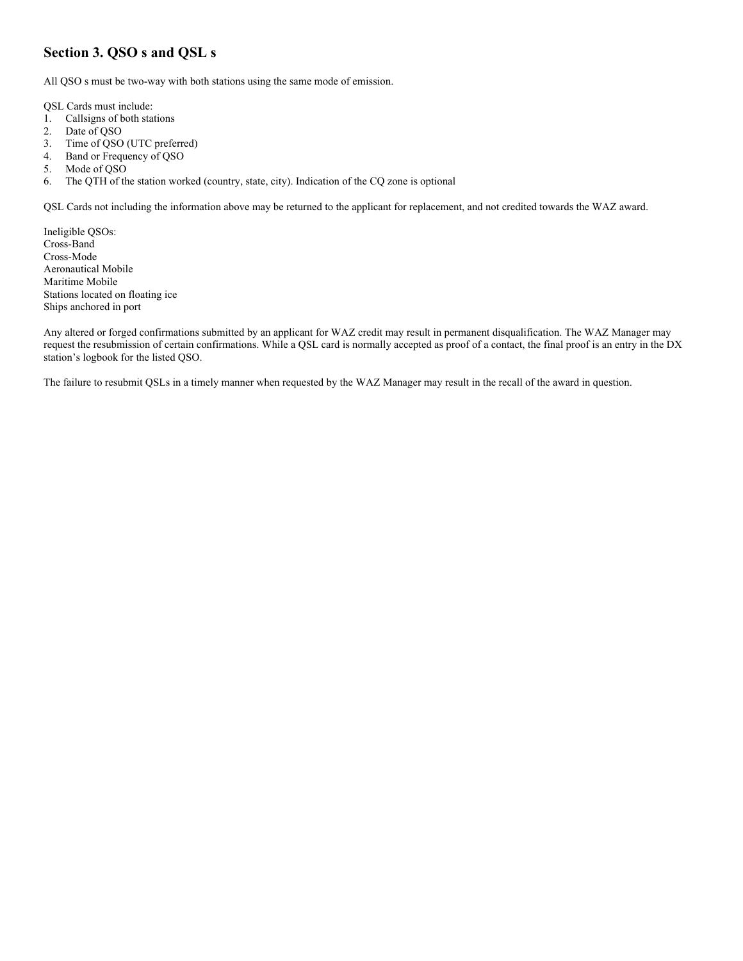# **Section 3. QSO s and QSL s**

All QSO s must be two-way with both stations using the same mode of emission.

QSL Cards must include:

- 1. Callsigns of both stations
- 2. Date of QSO
- 3. Time of QSO (UTC preferred)
- 4. Band or Frequency of QSO
- 5. Mode of QSO
- 6. The QTH of the station worked (country, state, city). Indication of the CQ zone is optional

QSL Cards not including the information above may be returned to the applicant for replacement, and not credited towards the WAZ award.

Ineligible QSOs: Cross-Band Cross-Mode Aeronautical Mobile Maritime Mobile Stations located on floating ice Ships anchored in port

Any altered or forged confirmations submitted by an applicant for WAZ credit may result in permanent disqualification. The WAZ Manager may request the resubmission of certain confirmations. While a QSL card is normally accepted as proof of a contact, the final proof is an entry in the DX station's logbook for the listed QSO.

The failure to resubmit QSLs in a timely manner when requested by the WAZ Manager may result in the recall of the award in question.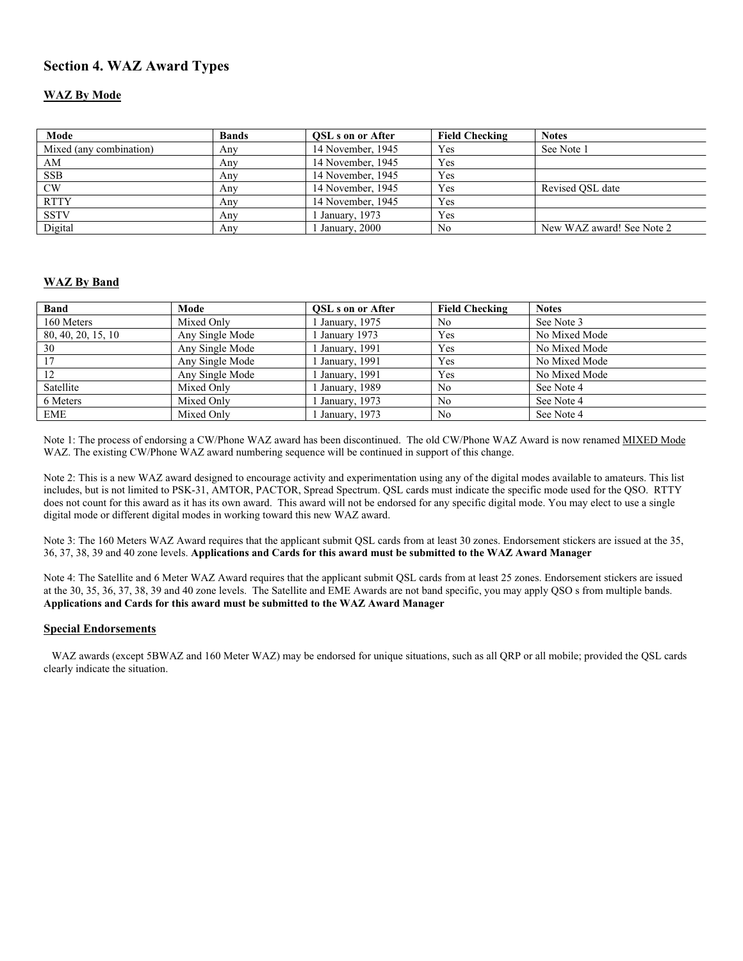## **Section 4. WAZ Award Types**

#### **WAZ By Mode**

| Mode                    | <b>Bands</b> | <b>OSL</b> s on or After | <b>Field Checking</b> | <b>Notes</b>              |
|-------------------------|--------------|--------------------------|-----------------------|---------------------------|
| Mixed (any combination) | Any          | 14 November, 1945        | Yes                   | See Note 1                |
| AM                      | Any          | 14 November, 1945        | Yes                   |                           |
| <b>SSB</b>              | Any          | 14 November, 1945        | Yes                   |                           |
| CW                      | Any          | 14 November, 1945        | Yes                   | Revised OSL date          |
| <b>RTTY</b>             | Any          | 14 November, 1945        | <b>Yes</b>            |                           |
| <b>SSTV</b>             | Any          | January, 1973            | <b>Yes</b>            |                           |
| Digital                 | Anv          | January, 2000            | No                    | New WAZ award! See Note 2 |

#### **WAZ By Band**

| <b>Band</b>        | Mode            | <b>OSL</b> s on or After   | <b>Field Checking</b> | <b>Notes</b>  |
|--------------------|-----------------|----------------------------|-----------------------|---------------|
| 160 Meters         | Mixed Only      | January, 1975              | No                    | See Note 3    |
| 80, 40, 20, 15, 10 | Any Single Mode | January 1973               | Yes                   | No Mixed Mode |
| 30                 | Any Single Mode | January, 1991              | Yes                   | No Mixed Mode |
|                    | Any Single Mode | January, 1991              | Yes                   | No Mixed Mode |
| 12                 | Any Single Mode | <sup>1</sup> January, 1991 | Yes                   | No Mixed Mode |
| Satellite          | Mixed Only      | January, 1989              | No                    | See Note 4    |
| 6 Meters           | Mixed Only      | January, 1973              | No                    | See Note 4    |
| EME                | Mixed Only      | January, 1973              | No                    | See Note 4    |

Note 1: The process of endorsing a CW/Phone WAZ award has been discontinued. The old CW/Phone WAZ Award is now renamed MIXED Mode WAZ. The existing CW/Phone WAZ award numbering sequence will be continued in support of this change.

Note 2: This is a new WAZ award designed to encourage activity and experimentation using any of the digital modes available to amateurs. This list includes, but is not limited to PSK-31, AMTOR, PACTOR, Spread Spectrum. QSL cards must indicate the specific mode used for the QSO. RTTY does not count for this award as it has its own award. This award will not be endorsed for any specific digital mode. You may elect to use a single digital mode or different digital modes in working toward this new WAZ award.

Note 3: The 160 Meters WAZ Award requires that the applicant submit QSL cards from at least 30 zones. Endorsement stickers are issued at the 35, 36, 37, 38, 39 and 40 zone levels. **Applications and Cards for this award must be submitted to the WAZ Award Manager**

Note 4: The Satellite and 6 Meter WAZ Award requires that the applicant submit QSL cards from at least 25 zones. Endorsement stickers are issued at the 30, 35, 36, 37, 38, 39 and 40 zone levels. The Satellite and EME Awards are not band specific, you may apply QSO s from multiple bands. **Applications and Cards for this award must be submitted to the WAZ Award Manager**

#### **Special Endorsements**

 WAZ awards (except 5BWAZ and 160 Meter WAZ) may be endorsed for unique situations, such as all QRP or all mobile; provided the QSL cards clearly indicate the situation.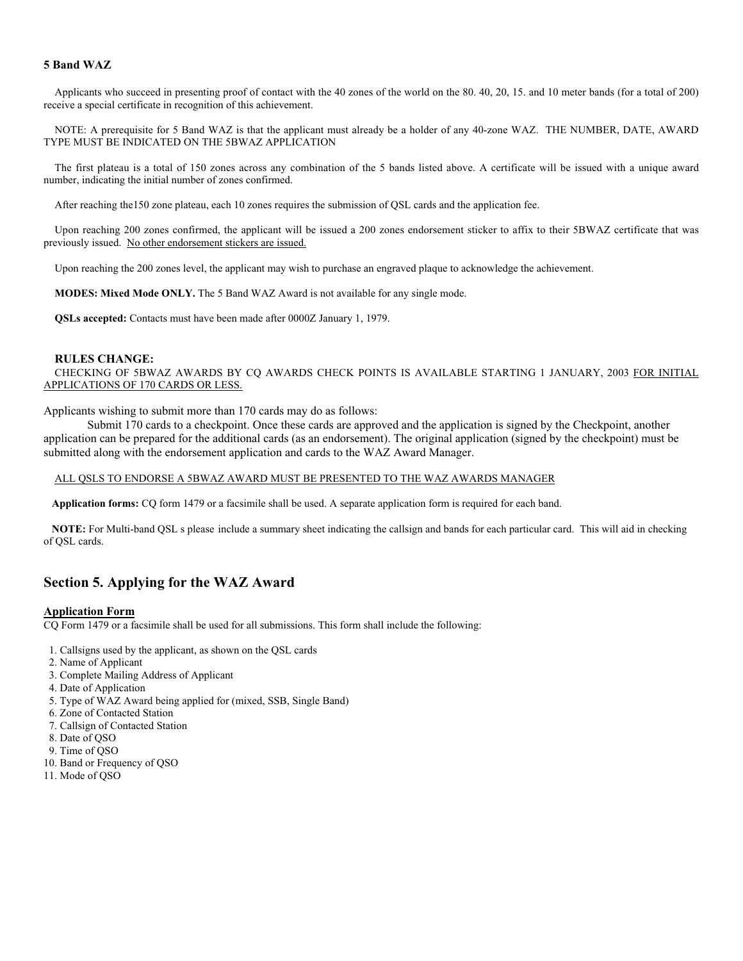#### **5 Band WAZ**

Applicants who succeed in presenting proof of contact with the 40 zones of the world on the 80. 40, 20, 15. and 10 meter bands (for a total of 200) receive a special certificate in recognition of this achievement.

NOTE: A prerequisite for 5 Band WAZ is that the applicant must already be a holder of any 40-zone WAZ. THE NUMBER, DATE, AWARD TYPE MUST BE INDICATED ON THE 5BWAZ APPLICATION

The first plateau is a total of 150 zones across any combination of the 5 bands listed above. A certificate will be issued with a unique award number, indicating the initial number of zones confirmed.

After reaching the150 zone plateau, each 10 zones requires the submission of QSL cards and the application fee.

Upon reaching 200 zones confirmed, the applicant will be issued a 200 zones endorsement sticker to affix to their 5BWAZ certificate that was previously issued. No other endorsement stickers are issued.

Upon reaching the 200 zones level, the applicant may wish to purchase an engraved plaque to acknowledge the achievement.

**MODES: Mixed Mode ONLY.** The 5 Band WAZ Award is not available for any single mode.

**QSLs accepted:** Contacts must have been made after 0000Z January 1, 1979.

#### **RULES CHANGE:**

CHECKING OF 5BWAZ AWARDS BY CQ AWARDS CHECK POINTS IS AVAILABLE STARTING 1 JANUARY, 2003 FOR INITIAL APPLICATIONS OF 170 CARDS OR LESS.

Applicants wishing to submit more than 170 cards may do as follows:

Submit 170 cards to a checkpoint. Once these cards are approved and the application is signed by the Checkpoint, another application can be prepared for the additional cards (as an endorsement). The original application (signed by the checkpoint) must be submitted along with the endorsement application and cards to the WAZ Award Manager.

#### ALL QSLS TO ENDORSE A 5BWAZ AWARD MUST BE PRESENTED TO THE WAZ AWARDS MANAGER

**Application forms:** CQ form 1479 or a facsimile shall be used. A separate application form is required for each band.

 **NOTE:** For Multi-band QSL s please include a summary sheet indicating the callsign and bands for each particular card. This will aid in checking of QSL cards.

### **Section 5. Applying for the WAZ Award**

#### **Application Form**

CQ Form 1479 or a facsimile shall be used for all submissions. This form shall include the following:

- 1. Callsigns used by the applicant, as shown on the QSL cards
- 2. Name of Applicant
- 3. Complete Mailing Address of Applicant
- 4. Date of Application
- 5. Type of WAZ Award being applied for (mixed, SSB, Single Band)
- 6. Zone of Contacted Station
- 7. Callsign of Contacted Station
- 8. Date of QSO
- 9. Time of QSO
- 10. Band or Frequency of QSO
- 11. Mode of QSO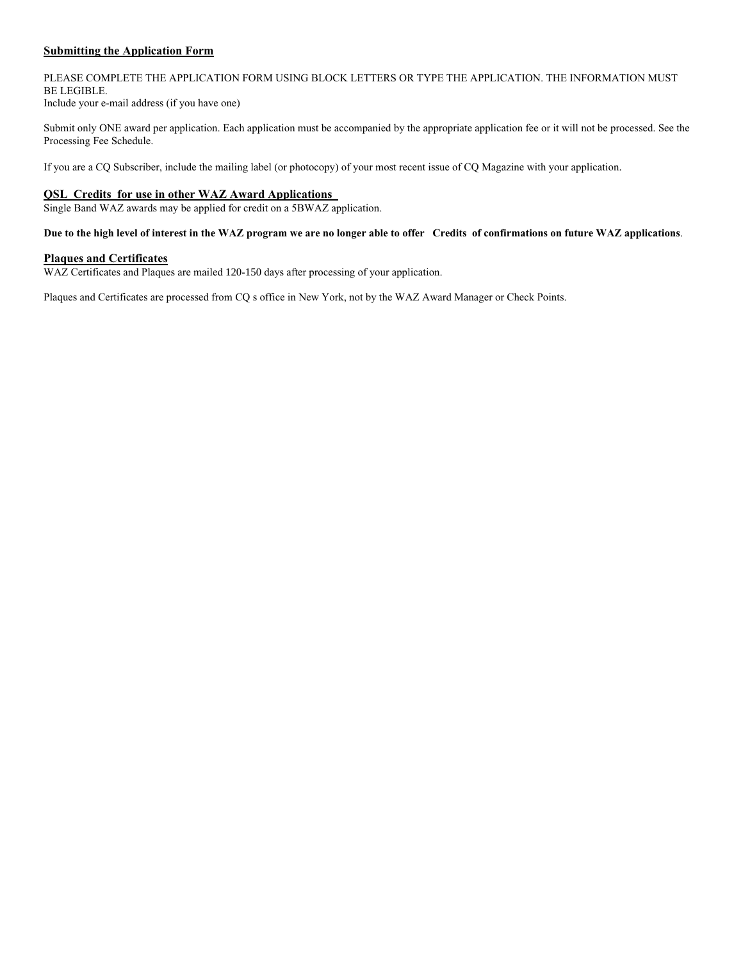#### **Submitting the Application Form**

#### PLEASE COMPLETE THE APPLICATION FORM USING BLOCK LETTERS OR TYPE THE APPLICATION. THE INFORMATION MUST BE LEGIBLE. Include your e-mail address (if you have one)

Submit only ONE award per application. Each application must be accompanied by the appropriate application fee or it will not be processed. See the Processing Fee Schedule.

If you are a CQ Subscriber, include the mailing label (or photocopy) of your most recent issue of CQ Magazine with your application.

#### **QSL Credits for use in other WAZ Award Applications**

Single Band WAZ awards may be applied for credit on a 5BWAZ application.

#### **Due to the high level of interest in the WAZ program we are no longer able to offer Credits of confirmations on future WAZ applications**.

#### **Plaques and Certificates**

WAZ Certificates and Plaques are mailed 120-150 days after processing of your application.

Plaques and Certificates are processed from CQ s office in New York, not by the WAZ Award Manager or Check Points.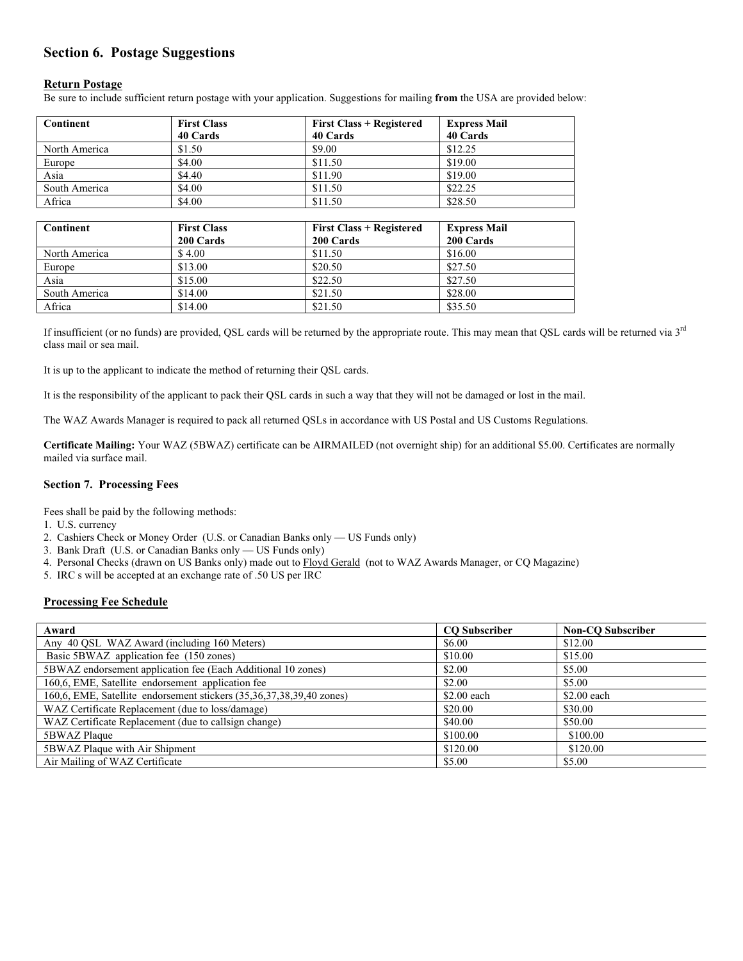## **Section 6. Postage Suggestions**

#### **Return Postage**

Be sure to include sufficient return postage with your application. Suggestions for mailing **from** the USA are provided below:

| Continent     | <b>First Class</b> | <b>First Class + Registered</b> | <b>Express Mail</b> |  |
|---------------|--------------------|---------------------------------|---------------------|--|
|               | 40 Cards           | 40 Cards                        | 40 Cards            |  |
| North America | \$1.50             | \$9.00                          | \$12.25             |  |
| Europe        | \$4.00             | \$11.50                         | \$19.00             |  |
| Asia          | \$4.40             | \$11.90                         | \$19.00             |  |
| South America | \$4.00             | \$11.50                         | \$22.25             |  |
| Africa        | \$4.00             | \$11.50                         | \$28.50             |  |

| Continent     | <b>First Class</b> | <b>First Class + Registered</b> | <b>Express Mail</b> |
|---------------|--------------------|---------------------------------|---------------------|
|               | 200 Cards          | 200 Cards                       | 200 Cards           |
| North America | \$4.00             | \$11.50                         | \$16.00             |
| Europe        | \$13.00            | \$20.50                         | \$27.50             |
| Asia          | \$15.00            | \$22.50                         | \$27.50             |
| South America | \$14.00            | \$21.50                         | \$28.00             |
| Africa        | \$14.00            | \$21.50                         | \$35.50             |

If insufficient (or no funds) are provided, QSL cards will be returned by the appropriate route. This may mean that QSL cards will be returned via 3<sup>rd</sup> class mail or sea mail.

It is up to the applicant to indicate the method of returning their QSL cards.

It is the responsibility of the applicant to pack their QSL cards in such a way that they will not be damaged or lost in the mail.

The WAZ Awards Manager is required to pack all returned QSLs in accordance with US Postal and US Customs Regulations.

**Certificate Mailing:** Your WAZ (5BWAZ) certificate can be AIRMAILED (not overnight ship) for an additional \$5.00. Certificates are normally mailed via surface mail.

#### **Section 7. Processing Fees**

Fees shall be paid by the following methods:

- 1. U.S. currency
- 2. Cashiers Check or Money Order (U.S. or Canadian Banks only US Funds only)
- 3. Bank Draft (U.S. or Canadian Banks only US Funds only)
- 4. Personal Checks (drawn on US Banks only) made out to Floyd Gerald (not to WAZ Awards Manager, or CQ Magazine)
- 5. IRC s will be accepted at an exchange rate of .50 US per IRC

#### **Processing Fee Schedule**

| Award                                                                | <b>CO</b> Subscriber | <b>Non-CO Subscriber</b> |
|----------------------------------------------------------------------|----------------------|--------------------------|
| Any 40 QSL WAZ Award (including 160 Meters)                          | \$6.00               | \$12.00                  |
| Basic 5BWAZ application fee (150 zones)                              | \$10.00              | \$15.00                  |
| 5BWAZ endorsement application fee (Each Additional 10 zones)         | \$2.00               | \$5.00                   |
| 160,6, EME, Satellite endorsement application fee                    | \$2.00               | \$5.00                   |
| 160,6, EME, Satellite endorsement stickers (35,36,37,38,39,40 zones) | \$2.00 each          | \$2.00 each              |
| WAZ Certificate Replacement (due to loss/damage)                     | \$20.00              | \$30.00                  |
| WAZ Certificate Replacement (due to callsign change)                 | \$40.00              | \$50.00                  |
| 5BWAZ Plaque                                                         | \$100.00             | \$100.00                 |
| 5BWAZ Plaque with Air Shipment                                       | \$120.00             | \$120.00                 |
| Air Mailing of WAZ Certificate                                       | \$5.00               | \$5.00                   |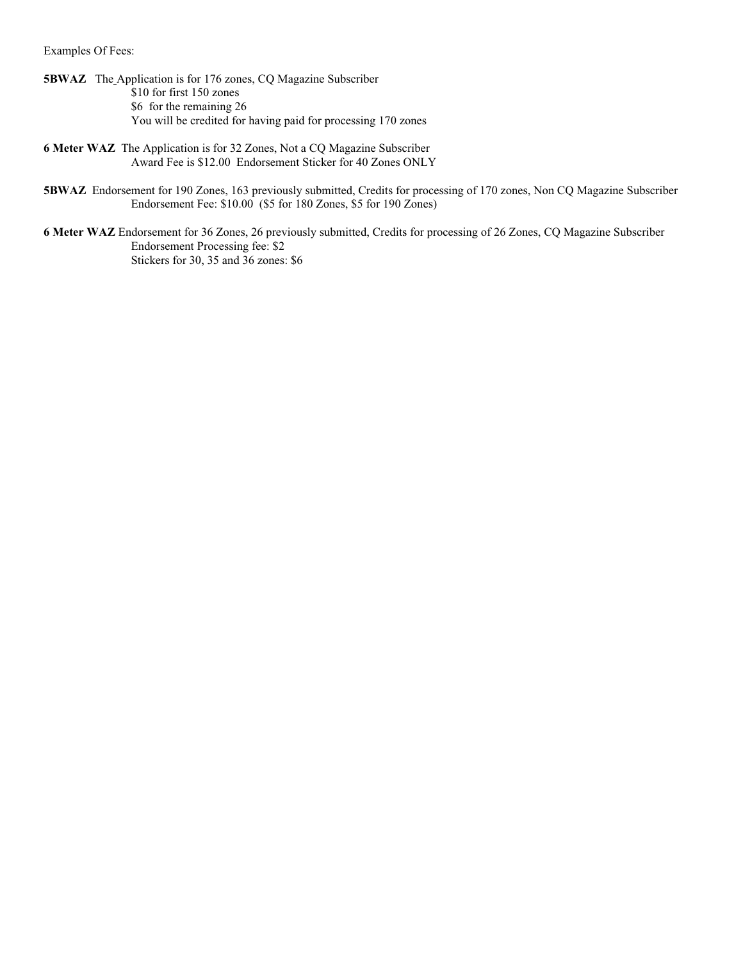Examples Of Fees:

- **5BWAZ** The Application is for 176 zones, CQ Magazine Subscriber \$10 for first 150 zones \$6 for the remaining 26 You will be credited for having paid for processing 170 zones
- **6 Meter WAZ** The Application is for 32 Zones, Not a CQ Magazine Subscriber Award Fee is \$12.00 Endorsement Sticker for 40 Zones ONLY
- **5BWAZ** Endorsement for 190 Zones, 163 previously submitted, Credits for processing of 170 zones, Non CQ Magazine Subscriber Endorsement Fee: \$10.00 (\$5 for 180 Zones, \$5 for 190 Zones)
- **6 Meter WAZ** Endorsement for 36 Zones, 26 previously submitted, Credits for processing of 26 Zones, CQ Magazine Subscriber Endorsement Processing fee: \$2 Stickers for 30, 35 and 36 zones: \$6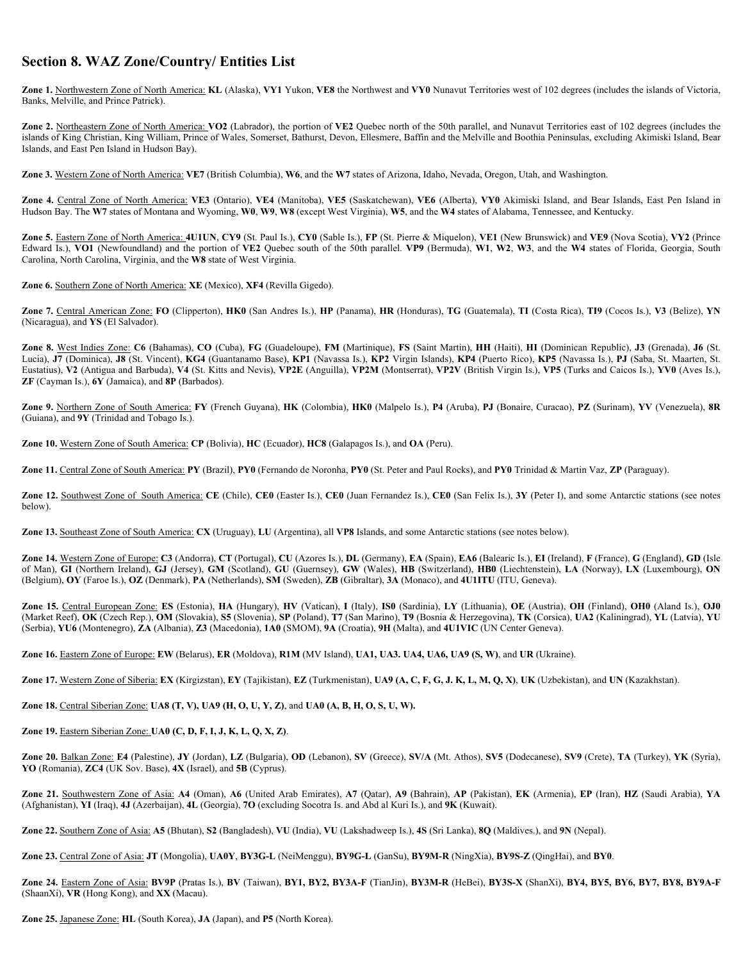### **Section 8. WAZ Zone/Country/ Entities List**

**Zone 1.** Northwestern Zone of North America: **KL** (Alaska), **VY1** Yukon, **VE8** the Northwest and **VY0** Nunavut Territories west of 102 degrees (includes the islands of Victoria, Banks, Melville, and Prince Patrick).

**Zone 2.** Northeastern Zone of North America: **VO2** (Labrador), the portion of **VE2** Quebec north of the 50th parallel, and Nunavut Territories east of 102 degrees (includes the islands of King Christian, King William, Prince of Wales, Somerset, Bathurst, Devon, Ellesmere, Baffin and the Melville and Boothia Peninsulas, excluding Akimiski Island, Bear Islands, and East Pen Island in Hudson Bay).

**Zone 3.** Western Zone of North America: **VE7** (British Columbia), **W6**, and the **W7** states of Arizona, Idaho, Nevada, Oregon, Utah, and Washington.

**Zone 4.** Central Zone of North America: **VE3** (Ontario), **VE4** (Manitoba), **VE5** (Saskatchewan), **VE6** (Alberta), **VY0** Akimiski Island, and Bear Islands, East Pen Island in Hudson Bay. The **W7** states of Montana and Wyoming, **W0**, **W9**, **W8** (except West Virginia), **W5**, and the **W4** states of Alabama, Tennessee, and Kentucky.

**Zone 5.** Eastern Zone of North America: **4U1UN**, **CY9** (St. Paul Is.), **CY0** (Sable Is.), **FP** (St. Pierre & Miquelon), **VE1** (New Brunswick) and **VE9** (Nova Scotia), **VY2** (Prince Edward Is.), **VO1** (Newfoundland) and the portion of **VE2** Quebec south of the 50th parallel. **VP9** (Bermuda), **W1**, **W2**, **W3**, and the **W4** states of Florida, Georgia, South Carolina, North Carolina, Virginia, and the **W8** state of West Virginia.

**Zone 6.** Southern Zone of North America: **XE** (Mexico), **XF4** (Revilla Gigedo).

Zone 7. Central American Zone: FO (Clipperton), HK0 (San Andres Is.), HP (Panama), HR (Honduras), TG (Guatemala), TI (Costa Rica), TI9 (Cocos Is.), V3 (Belize), YN (Nicaragua), and **YS** (El Salvador).

Zone 8. West Indies Zone: C6 (Bahamas), CO (Cuba), FG (Guadeloupe), FM (Martinique), FS (Saint Martin), HH (Haiti), HI (Dominican Republic), J3 (Grenada), J6 (St. Lucia), **J7** (Dominica), **J8** (St. Vincent), **KG4** (Guantanamo Base), **KP1** (Navassa Is.), **KP2** Virgin Islands), **KP4** (Puerto Rico), **KP5** (Navassa Is.), **PJ** (Saba, St. Maarten, St. Eustatius), **V2** (Antigua and Barbuda), **V4** (St. Kitts and Nevis), **VP2E** (Anguilla), **VP2M** (Montserrat), **VP2V** (British Virgin Is.), **VP5** (Turks and Caicos Is.), **YV0** (Aves Is.), **ZF** (Cayman Is.), **6Y** (Jamaica), and **8P** (Barbados).

**Zone 9.** Northern Zone of South America: **FY** (French Guyana), **HK** (Colombia), **HK0** (Malpelo Is.), **P4** (Aruba), **PJ** (Bonaire, Curacao), **PZ** (Surinam), **YV** (Venezuela), **8R** (Guiana), and **9Y** (Trinidad and Tobago Is.).

**Zone 10.** Western Zone of South America: **CP** (Bolivia), **HC** (Ecuador), **HC8** (Galapagos Is.), and **OA** (Peru).

**Zone 11.** Central Zone of South America: **PY** (Brazil), **PY0** (Fernando de Noronha, **PY0** (St. Peter and Paul Rocks), and **PY0** Trinidad & Martin Vaz, **ZP** (Paraguay).

**Zone 12.** Southwest Zone of South America: **CE** (Chile), **CE0** (Easter Is.), **CE0** (Juan Fernandez Is.), **CE0** (San Felix Is.), **3Y** (Peter I), and some Antarctic stations (see notes below).

**Zone 13.** Southeast Zone of South America: **CX** (Uruguay), **LU** (Argentina), all **VP8** Islands, and some Antarctic stations (see notes below).

Zone 14. Western Zone of Europe: C3 (Andorra), CT (Portugal), CU (Azores Is.), DL (Germany), EA (Spain), EA6 (Balearic Is.), EI (Ireland), F (France), G (England), GD (Isle of Man), GI (Northern Ireland), GJ (Jersey), GM (Scotland), GU (Guernsey), GW (Wales), HB (Switzerland), HB0 (Liechtenstein), LA (Norway), LX (Luxembourg), ON (Belgium), **OY** (Faroe Is.), **OZ** (Denmark), **PA** (Netherlands), **SM** (Sweden), **ZB** (Gibraltar), **3A** (Monaco), and **4U1ITU** (ITU, Geneva).

Zone 15. Central European Zone: ES (Estonia), HA (Hungary), HV (Vatican), I (Italy), IS0 (Sardinia), LY (Lithuania), OE (Austria), OH (Finland), OH0 (Aland Is.), OJ0 (Market Reef), OK (Czech Rep.), OM (Slovakia), S5 (Slovenia), SP (Poland), T7 (San Marino), T9 (Bosnia & Herzegovina), TK (Corsica), UA2 (Kaliningrad), YL (Latvia), YU (Serbia), **YU6** (Montenegro), **ZA** (Albania), **Z3** (Macedonia), **1A0** (SMOM), **9A** (Croatia), **9H** (Malta), and **4U1VIC** (UN Center Geneva).

**Zone 16.** Eastern Zone of Europe: **EW** (Belarus), **ER** (Moldova), **R1M** (MV Island), **UA1, UA3. UA4, UA6, UA9 (S, W)**, and **UR** (Ukraine).

**Zone 17.** Western Zone of Siberia: **EX** (Kirgizstan), **EY** (Tajikistan), **EZ** (Turkmenistan), **UA9 (A, C, F, G, J. K, L, M, Q, X)**, **UK** (Uzbekistan), and **UN** (Kazakhstan).

**Zone 18.** Central Siberian Zone: **UA8 (T, V), UA9 (H, O, U, Y, Z)**, and **UA0 (A, B, H, O, S, U, W).**

**Zone 19.** Eastern Siberian Zone: **UA0 (C, D, F, I, J, K, L, Q, X, Z)**.

Zone 20. Balkan Zone: E4 (Palestine), JY (Jordan), LZ (Bulgaria), OD (Lebanon), SV (Greece), SV/A (Mt. Athos), SV5 (Dodecanese), SV9 (Crete), TA (Turkey), YK (Syria), **YO** (Romania), **ZC4** (UK Sov. Base), **4X** (Israel), and **5B** (Cyprus).

Zone 21. Southwestern Zone of Asia: A4 (Oman), A6 (United Arab Emirates), A7 (Qatar), A9 (Bahrain), AP (Pakistan), EK (Armenia), EP (Iran), HZ (Saudi Arabia), YA (Afghanistan), **YI** (Iraq), **4J** (Azerbaijan), **4L** (Georgia), **7O** (excluding Socotra Is. and Abd al Kuri Is.), and **9K** (Kuwait).

**Zone 22.** Southern Zone of Asia: **A5** (Bhutan), **S2** (Bangladesh), **VU** (India), **VU** (Lakshadweep Is.), **4S** (Sri Lanka), **8Q** (Maldives.), and **9N** (Nepal).

**Zone 23.** Central Zone of Asia: **JT** (Mongolia), **UA0Y**, **BY3G-L** (NeiMenggu), **BY9G-L** (GanSu), **BY9M-R** (NingXia), **BY9S-Z** (QingHai), and **BY0**.

**Zone 24.** Eastern Zone of Asia: **BV9P** (Pratas Is.), **BV** (Taiwan), **BY1, BY2, BY3A-F** (TianJin), **BY3M-R** (HeBei), **BY3S-X** (ShanXi), **BY4, BY5, BY6, BY7, BY8, BY9A-F** (ShaanXi), **VR** (Hong Kong), and **XX** (Macau).

**Zone 25.** Japanese Zone: **HL** (South Korea), **JA** (Japan), and **P5** (North Korea).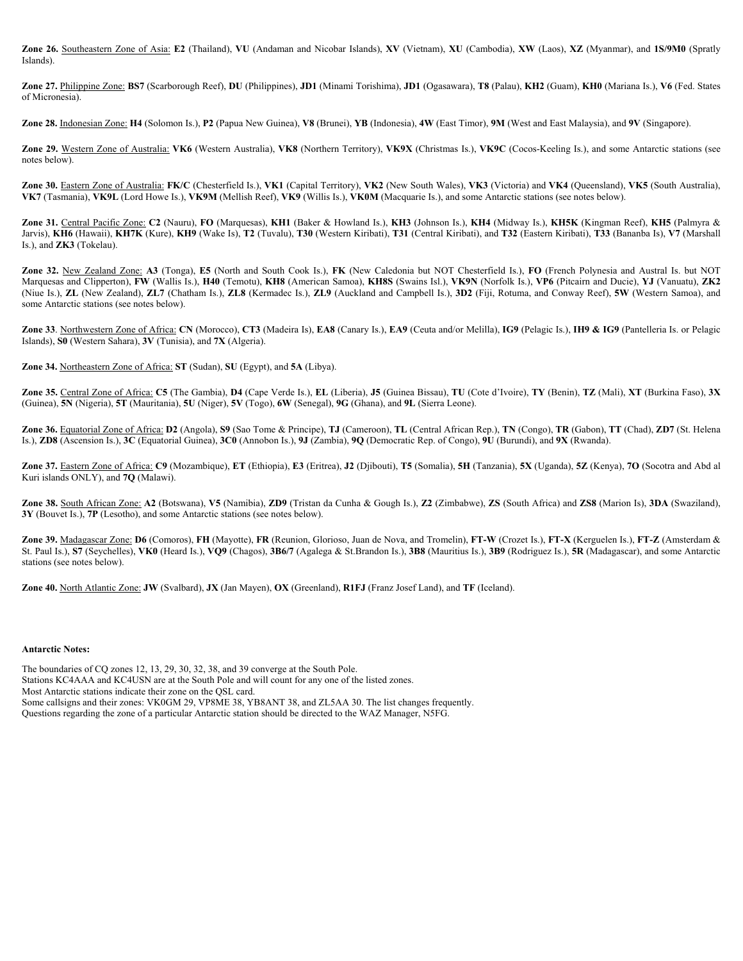**Zone 26.** Southeastern Zone of Asia: **E2** (Thailand), **VU** (Andaman and Nicobar Islands), **XV** (Vietnam), **XU** (Cambodia), **XW** (Laos), **XZ** (Myanmar), and **1S/9M0** (Spratly Islands).

Zone 27. Philippine Zone: BS7 (Scarborough Reef), DU (Philippines), JD1 (Minami Torishima), JD1 (Ogasawara), T8 (Palau), KH2 (Guam), KH0 (Mariana Is.), V6 (Fed. States of Micronesia).

**Zone 28.** Indonesian Zone: **H4** (Solomon Is.), **P2** (Papua New Guinea), **V8** (Brunei), **YB** (Indonesia), **4W** (East Timor), **9M** (West and East Malaysia), and **9V** (Singapore).

**Zone 29.** Western Zone of Australia: **VK6** (Western Australia), **VK8** (Northern Territory), **VK9X** (Christmas Is.), **VK9C** (Cocos-Keeling Is.), and some Antarctic stations (see notes below).

**Zone 30.** Eastern Zone of Australia: **FK/C** (Chesterfield Is.), **VK1** (Capital Territory), **VK2** (New South Wales), **VK3** (Victoria) and **VK4** (Queensland), **VK5** (South Australia), **VK7** (Tasmania), **VK9L** (Lord Howe Is.), **VK9M** (Mellish Reef), **VK9** (Willis Is.), **VK0M** (Macquarie Is.), and some Antarctic stations (see notes below).

**Zone 31.** Central Pacific Zone: **C2** (Nauru), **FO** (Marquesas), **KH1** (Baker & Howland Is.), **KH3** (Johnson Is.), **KH4** (Midway Is.), **KH5K** (Kingman Reef), **KH5** (Palmyra & Jarvis), KH6 (Hawaii), KH7K (Kure), KH9 (Wake Is), T2 (Tuvalu), T30 (Western Kiribati), T31 (Central Kiribati), and T32 (Eastern Kiribati), T33 (Bananba Is), V7 (Marshall Is.), and **ZK3** (Tokelau).

**Zone 32.** New Zealand Zone: **A3** (Tonga), **E5** (North and South Cook Is.), **FK** (New Caledonia but NOT Chesterfield Is.), **FO** (French Polynesia and Austral Is. but NOT Marquesas and Clipperton), **FW** (Wallis Is.), **H40** (Temotu), **KH8** (American Samoa), **KH8S** (Swains Isl.), **VK9N** (Norfolk Is.), **VP6** (Pitcairn and Ducie), **YJ** (Vanuatu), **ZK2** (Niue Is.), **ZL** (New Zealand), **ZL7** (Chatham Is.), **ZL8** (Kermadec Is.), **ZL9** (Auckland and Campbell Is.), **3D2** (Fiji, Rotuma, and Conway Reef), **5W** (Western Samoa), and some Antarctic stations (see notes below).

**Zone 33**. Northwestern Zone of Africa: **CN** (Morocco), **CT3** (Madeira Is), **EA8** (Canary Is.), **EA9** (Ceuta and/or Melilla), **IG9** (Pelagic Is.), **IH9 & IG9** (Pantelleria Is. or Pelagic Islands), **S0** (Western Sahara), **3V** (Tunisia), and **7X** (Algeria).

**Zone 34.** Northeastern Zone of Africa: **ST** (Sudan), **SU** (Egypt), and **5A** (Libya).

Zone 35. Central Zone of Africa: C5 (The Gambia), D4 (Cape Verde Is.), EL (Liberia), J5 (Guinea Bissau), TU (Cote d'Ivoire), TY (Benin), TZ (Mali), XT (Burkina Faso), 3X (Guinea), **5N** (Nigeria), **5T** (Mauritania), **5U** (Niger), **5V** (Togo), **6W** (Senegal), **9G** (Ghana), and **9L** (Sierra Leone).

Zone 36. Equatorial Zone of Africa: D2 (Angola), S9 (Sao Tome & Principe), TJ (Cameroon), TL (Central African Rep.), TN (Congo), TR (Gabon), TT (Chad), ZD7 (St. Helena Is.), **ZD8** (Ascension Is.), **3C** (Equatorial Guinea), **3C0** (Annobon Is.), **9J** (Zambia), **9Q** (Democratic Rep. of Congo), **9U** (Burundi), and **9X** (Rwanda).

Zone 37. Eastern Zone of Africa: C9 (Mozambique), ET (Ethiopia), E3 (Eritrea), J2 (Djibouti), T5 (Somalia), 5H (Tanzania), 5X (Uganda), 5Z (Kenya), 7O (Socotra and Abd al Kuri islands ONLY), and **7Q** (Malawi).

**Zone 38.** South African Zone: **A2** (Botswana), **V5** (Namibia), **ZD9** (Tristan da Cunha & Gough Is.), **Z2** (Zimbabwe), **ZS** (South Africa) and **ZS8** (Marion Is), **3DA** (Swaziland), **3Y** (Bouvet Is.), **7P** (Lesotho), and some Antarctic stations (see notes below).

**Zone 39.** Madagascar Zone: **D6** (Comoros), **FH** (Mayotte), **FR** (Reunion, Glorioso, Juan de Nova, and Tromelin), **FT-W** (Crozet Is.), **FT-X** (Kerguelen Is.), **FT-Z** (Amsterdam & St. Paul Is.), **S7** (Seychelles), **VK0** (Heard Is.), **VQ9** (Chagos), **3B6/7** (Agalega & St.Brandon Is.), **3B8** (Mauritius Is.), **3B9** (Rodriguez Is.), **5R** (Madagascar), and some Antarctic stations (see notes below).

**Zone 40.** North Atlantic Zone: **JW** (Svalbard), **JX** (Jan Mayen), **OX** (Greenland), **R1FJ** (Franz Josef Land), and **TF** (Iceland).

#### **Antarctic Notes:**

The boundaries of CQ zones 12, 13, 29, 30, 32, 38, and 39 converge at the South Pole. Stations KC4AAA and KC4USN are at the South Pole and will count for any one of the listed zones. Most Antarctic stations indicate their zone on the QSL card. Some callsigns and their zones: VK0GM 29, VP8ME 38, YB8ANT 38, and ZL5AA 30. The list changes frequently. Questions regarding the zone of a particular Antarctic station should be directed to the WAZ Manager, N5FG.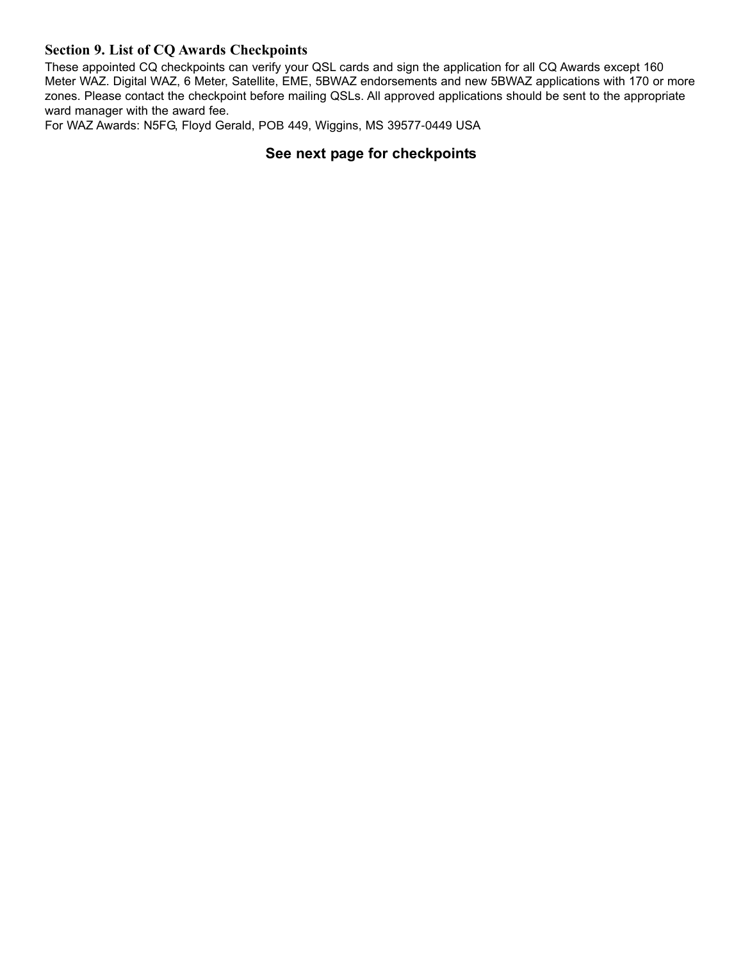# **Section 9. List of CQ Awards Checkpoints**

These appointed CQ checkpoints can verify your QSL cards and sign the application for all CQ Awards except 160 Meter WAZ. Digital WAZ, 6 Meter, Satellite, EME, 5BWAZ endorsements and new 5BWAZ applications with 170 or more zones. Please contact the checkpoint before mailing QSLs. All approved applications should be sent to the appropriate ward manager with the award fee.

For WAZ Awards: N5FG, Floyd Gerald, POB 449, Wiggins, MS 39577-0449 USA

# **See next page for checkpoints**